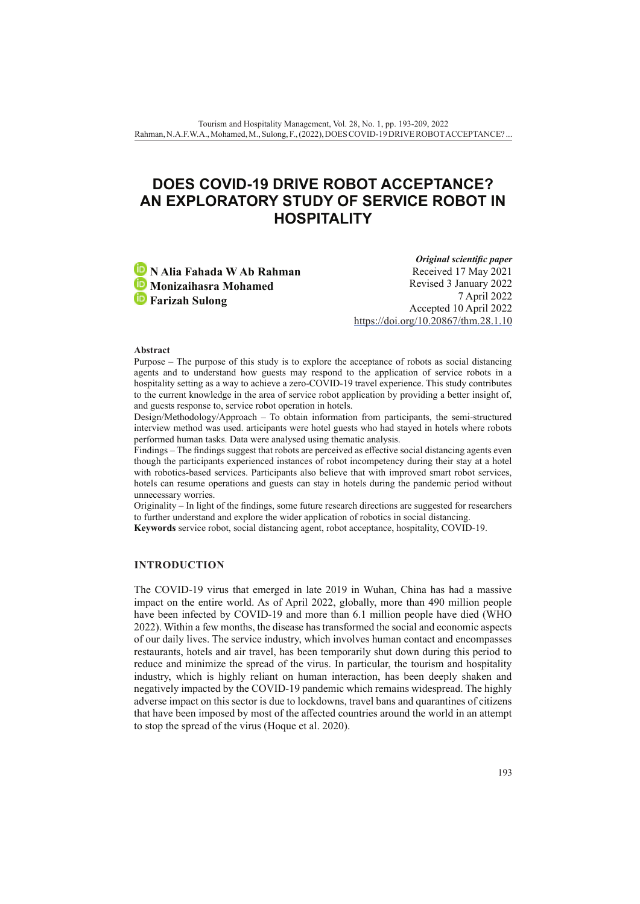# **DOES COVID-19 DRIVE ROBOT ACCEPTANCE? AN EXPLORATORY STUDY OF SERVICE ROBOT IN HOSPITALITY**

**N Alia Fahada W Ab Rahman Monizaihasra Mohamed Farizah Sulong**

*Original scientific paper* Received 17 May 2021 Revised 3 January 2022 7 April 2022 Accepted 10 April 2022 <https://doi.org/10.20867/thm.28.1.10>

#### **Abstract**

Purpose – The purpose of this study is to explore the acceptance of robots as social distancing agents and to understand how guests may respond to the application of service robots in a hospitality setting as a way to achieve a zero-COVID-19 travel experience. This study contributes to the current knowledge in the area of service robot application by providing a better insight of, and guests response to, service robot operation in hotels.

Design/Methodology/Approach – To obtain information from participants, the semi-structured interview method was used. articipants were hotel guests who had stayed in hotels where robots performed human tasks. Data were analysed using thematic analysis.

Findings – The findings suggest that robots are perceived as effective social distancing agents even though the participants experienced instances of robot incompetency during their stay at a hotel with robotics-based services. Participants also believe that with improved smart robot services, hotels can resume operations and guests can stay in hotels during the pandemic period without unnecessary worries.

Originality – In light of the findings, some future research directions are suggested for researchers to further understand and explore the wider application of robotics in social distancing.

**Keywords** service robot, social distancing agent, robot acceptance, hospitality, COVID-19.

#### **INTRODUCTION**

The COVID-19 virus that emerged in late 2019 in Wuhan, China has had a massive impact on the entire world. As of April 2022, globally, more than 490 million people have been infected by COVID-19 and more than 6.1 million people have died (WHO 2022). Within a few months, the disease has transformed the social and economic aspects of our daily lives. The service industry, which involves human contact and encompasses restaurants, hotels and air travel, has been temporarily shut down during this period to reduce and minimize the spread of the virus. In particular, the tourism and hospitality industry, which is highly reliant on human interaction, has been deeply shaken and negatively impacted by the COVID-19 pandemic which remains widespread. The highly adverse impact on this sector is due to lockdowns, travel bans and quarantines of citizens that have been imposed by most of the affected countries around the world in an attempt to stop the spread of the virus (Hoque et al. 2020).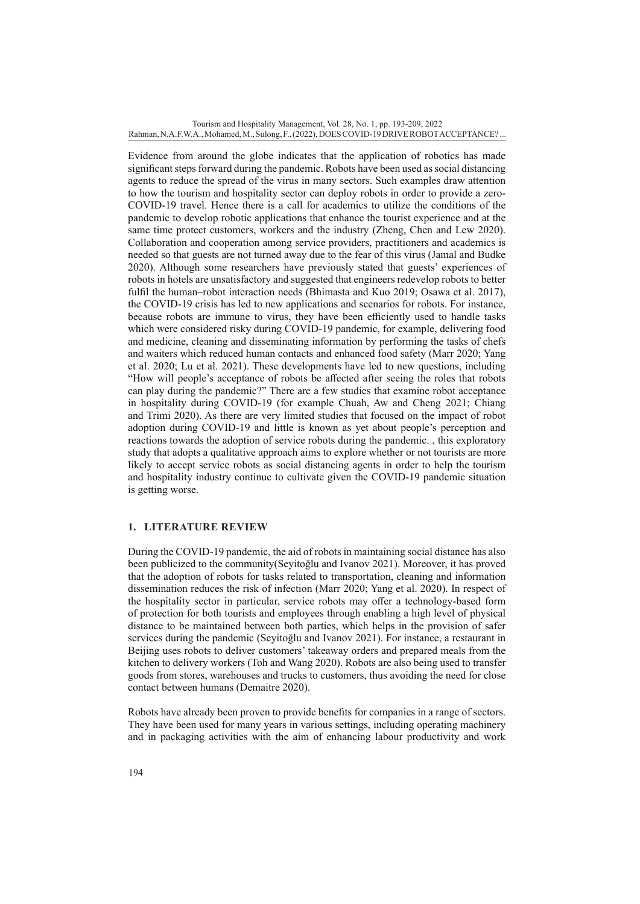Evidence from around the globe indicates that the application of robotics has made significant steps forward during the pandemic. Robots have been used as social distancing agents to reduce the spread of the virus in many sectors. Such examples draw attention to how the tourism and hospitality sector can deploy robots in order to provide a zero-COVID-19 travel. Hence there is a call for academics to utilize the conditions of the pandemic to develop robotic applications that enhance the tourist experience and at the same time protect customers, workers and the industry (Zheng, Chen and Lew 2020). Collaboration and cooperation among service providers, practitioners and academics is needed so that guests are not turned away due to the fear of this virus (Jamal and Budke 2020). Although some researchers have previously stated that guests' experiences of robots in hotels are unsatisfactory and suggested that engineers redevelop robots to better fulfil the human–robot interaction needs (Bhimasta and Kuo 2019; Osawa et al. 2017), the COVID-19 crisis has led to new applications and scenarios for robots. For instance, because robots are immune to virus, they have been efficiently used to handle tasks which were considered risky during COVID-19 pandemic, for example, delivering food and medicine, cleaning and disseminating information by performing the tasks of chefs and waiters which reduced human contacts and enhanced food safety (Marr 2020; Yang et al. 2020; Lu et al. 2021). These developments have led to new questions, including "How will people's acceptance of robots be affected after seeing the roles that robots can play during the pandemic?" There are a few studies that examine robot acceptance in hospitality during COVID-19 (for example Chuah, Aw and Cheng 2021; Chiang and Trimi 2020). As there are very limited studies that focused on the impact of robot adoption during COVID-19 and little is known as yet about people's perception and reactions towards the adoption of service robots during the pandemic. , this exploratory study that adopts a qualitative approach aims to explore whether or not tourists are more likely to accept service robots as social distancing agents in order to help the tourism and hospitality industry continue to cultivate given the COVID-19 pandemic situation is getting worse.

## **1. LITERATURE REVIEW**

During the COVID-19 pandemic, the aid of robots in maintaining social distance has also been publicized to the community(Seyitoğlu and Ivanov 2021). Moreover, it has proved that the adoption of robots for tasks related to transportation, cleaning and information dissemination reduces the risk of infection (Marr 2020; Yang et al. 2020). In respect of the hospitality sector in particular, service robots may offer a technology-based form of protection for both tourists and employees through enabling a high level of physical distance to be maintained between both parties, which helps in the provision of safer services during the pandemic (Seyitoğlu and Ivanov 2021). For instance, a restaurant in Beijing uses robots to deliver customers' takeaway orders and prepared meals from the kitchen to delivery workers (Toh and Wang 2020). Robots are also being used to transfer goods from stores, warehouses and trucks to customers, thus avoiding the need for close contact between humans (Demaitre 2020).

Robots have already been proven to provide benefits for companies in a range of sectors. They have been used for many years in various settings, including operating machinery and in packaging activities with the aim of enhancing labour productivity and work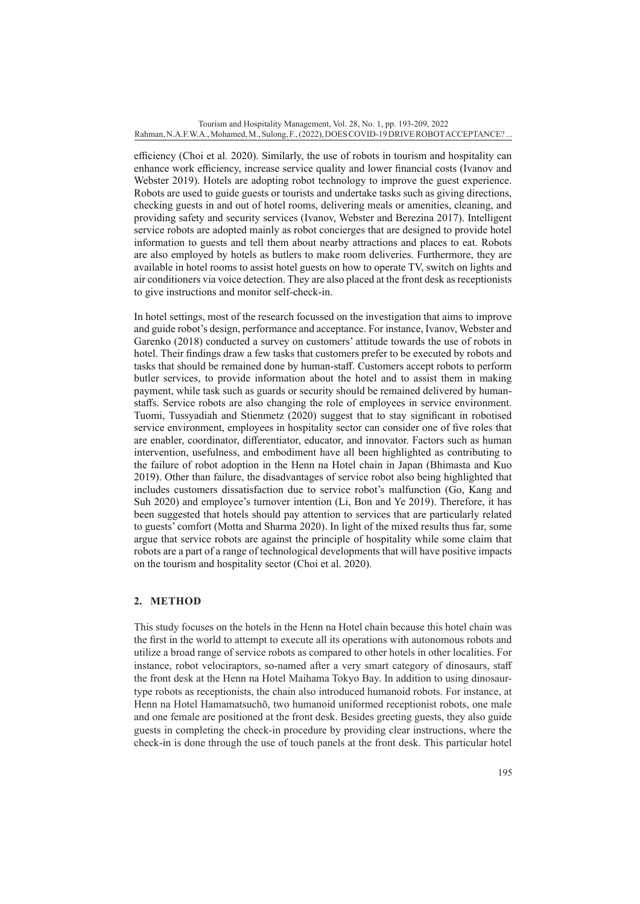efficiency (Choi et al*.* 2020). Similarly, the use of robots in tourism and hospitality can enhance work efficiency, increase service quality and lower financial costs (Ivanov and Webster 2019). Hotels are adopting robot technology to improve the guest experience. Robots are used to guide guests or tourists and undertake tasks such as giving directions, checking guests in and out of hotel rooms, delivering meals or amenities, cleaning, and providing safety and security services (Ivanov, Webster and Berezina 2017). Intelligent service robots are adopted mainly as robot concierges that are designed to provide hotel information to guests and tell them about nearby attractions and places to eat. Robots are also employed by hotels as butlers to make room deliveries. Furthermore, they are available in hotel rooms to assist hotel guests on how to operate TV, switch on lights and air conditioners via voice detection. They are also placed at the front desk as receptionists to give instructions and monitor self-check-in.

In hotel settings, most of the research focussed on the investigation that aims to improve and guide robot's design, performance and acceptance. For instance, Ivanov, Webster and Garenko (2018) conducted a survey on customers' attitude towards the use of robots in hotel. Their findings draw a few tasks that customers prefer to be executed by robots and tasks that should be remained done by human-staff. Customers accept robots to perform butler services, to provide information about the hotel and to assist them in making payment, while task such as guards or security should be remained delivered by humanstaffs. Service robots are also changing the role of employees in service environment. Tuomi, Tussyadiah and Stienmetz (2020) suggest that to stay significant in robotised service environment, employees in hospitality sector can consider one of five roles that are enabler, coordinator, differentiator, educator, and innovator. Factors such as human intervention, usefulness, and embodiment have all been highlighted as contributing to the failure of robot adoption in the Henn na Hotel chain in Japan (Bhimasta and Kuo 2019). Other than failure, the disadvantages of service robot also being highlighted that includes customers dissatisfaction due to service robot's malfunction (Go, Kang and Suh 2020) and employee's turnover intention (Li, Bon and Ye 2019). Therefore, it has been suggested that hotels should pay attention to services that are particularly related to guests' comfort (Motta and Sharma 2020). In light of the mixed results thus far, some argue that service robots are against the principle of hospitality while some claim that robots are a part of a range of technological developments that will have positive impacts on the tourism and hospitality sector (Choi et al. 2020).

## **2. METHOD**

This study focuses on the hotels in the Henn na Hotel chain because this hotel chain was the first in the world to attempt to execute all its operations with autonomous robots and utilize a broad range of service robots as compared to other hotels in other localities. For instance, robot velociraptors, so-named after a very smart category of dinosaurs, staff the front desk at the Henn na Hotel Maihama Tokyo Bay. In addition to using dinosaurtype robots as receptionists, the chain also introduced humanoid robots. For instance, at Henn na Hotel Hamamatsuchō, two humanoid uniformed receptionist robots, one male and one female are positioned at the front desk. Besides greeting guests, they also guide guests in completing the check-in procedure by providing clear instructions, where the check-in is done through the use of touch panels at the front desk. This particular hotel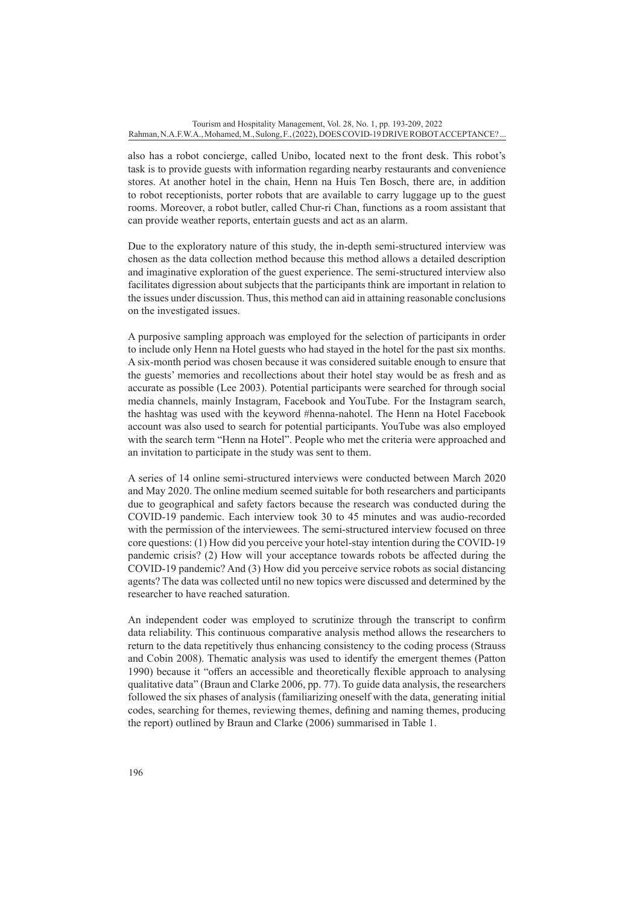also has a robot concierge, called Unibo, located next to the front desk. This robot's task is to provide guests with information regarding nearby restaurants and convenience stores. At another hotel in the chain, Henn na Huis Ten Bosch, there are, in addition to robot receptionists, porter robots that are available to carry luggage up to the guest rooms. Moreover, a robot butler, called Chur-ri Chan, functions as a room assistant that can provide weather reports, entertain guests and act as an alarm.

Due to the exploratory nature of this study, the in-depth semi-structured interview was chosen as the data collection method because this method allows a detailed description and imaginative exploration of the guest experience. The semi-structured interview also facilitates digression about subjects that the participants think are important in relation to the issues under discussion. Thus, this method can aid in attaining reasonable conclusions on the investigated issues.

A purposive sampling approach was employed for the selection of participants in order to include only Henn na Hotel guests who had stayed in the hotel for the past six months. A six-month period was chosen because it was considered suitable enough to ensure that the guests' memories and recollections about their hotel stay would be as fresh and as accurate as possible (Lee 2003). Potential participants were searched for through social media channels, mainly Instagram, Facebook and YouTube. For the Instagram search, the hashtag was used with the keyword #henna-nahotel. The Henn na Hotel Facebook account was also used to search for potential participants. YouTube was also employed with the search term "Henn na Hotel". People who met the criteria were approached and an invitation to participate in the study was sent to them.

A series of 14 online semi-structured interviews were conducted between March 2020 and May 2020. The online medium seemed suitable for both researchers and participants due to geographical and safety factors because the research was conducted during the COVID-19 pandemic. Each interview took 30 to 45 minutes and was audio-recorded with the permission of the interviewees. The semi-structured interview focused on three core questions: (1) How did you perceive your hotel-stay intention during the COVID-19 pandemic crisis? (2) How will your acceptance towards robots be affected during the COVID-19 pandemic? And (3) How did you perceive service robots as social distancing agents? The data was collected until no new topics were discussed and determined by the researcher to have reached saturation.

An independent coder was employed to scrutinize through the transcript to confirm data reliability. This continuous comparative analysis method allows the researchers to return to the data repetitively thus enhancing consistency to the coding process (Strauss and Cobin 2008). Thematic analysis was used to identify the emergent themes (Patton 1990) because it "offers an accessible and theoretically flexible approach to analysing qualitative data" (Braun and Clarke 2006, pp. 77). To guide data analysis, the researchers followed the six phases of analysis (familiarizing oneself with the data, generating initial codes, searching for themes, reviewing themes, defining and naming themes, producing the report) outlined by Braun and Clarke (2006) summarised in Table 1.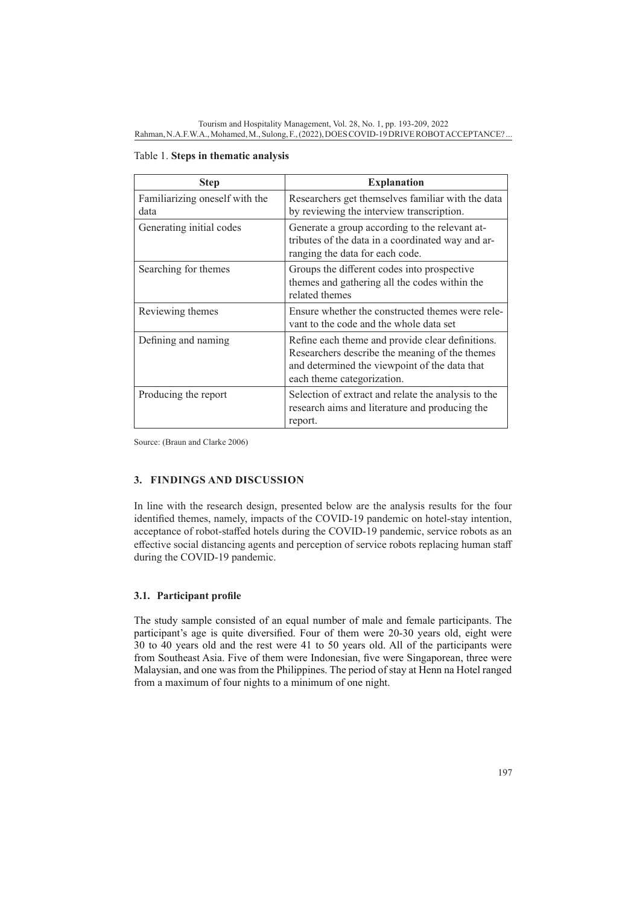| <b>Step</b>                            | <b>Explanation</b>                                                                                                                                                                |
|----------------------------------------|-----------------------------------------------------------------------------------------------------------------------------------------------------------------------------------|
| Familiarizing oneself with the<br>data | Researchers get themselves familiar with the data<br>by reviewing the interview transcription.                                                                                    |
| Generating initial codes               | Generate a group according to the relevant at-<br>tributes of the data in a coordinated way and ar-<br>ranging the data for each code.                                            |
| Searching for themes                   | Groups the different codes into prospective<br>themes and gathering all the codes within the<br>related themes                                                                    |
| Reviewing themes                       | Ensure whether the constructed themes were rele-<br>vant to the code and the whole data set                                                                                       |
| Defining and naming                    | Refine each theme and provide clear definitions.<br>Researchers describe the meaning of the themes<br>and determined the viewpoint of the data that<br>each theme categorization. |
| Producing the report                   | Selection of extract and relate the analysis to the<br>research aims and literature and producing the<br>report.                                                                  |

Table 1. **Steps in thematic analysis**

Source: (Braun and Clarke 2006)

## **3. FINDINGS AND DISCUSSION**

In line with the research design, presented below are the analysis results for the four identified themes, namely, impacts of the COVID-19 pandemic on hotel-stay intention, acceptance of robot-staffed hotels during the COVID-19 pandemic, service robots as an effective social distancing agents and perception of service robots replacing human staff during the COVID-19 pandemic.

## **3.1. Participant profile**

The study sample consisted of an equal number of male and female participants. The participant's age is quite diversified. Four of them were 20-30 years old, eight were 30 to 40 years old and the rest were 41 to 50 years old. All of the participants were from Southeast Asia. Five of them were Indonesian, five were Singaporean, three were Malaysian, and one was from the Philippines. The period of stay at Henn na Hotel ranged from a maximum of four nights to a minimum of one night.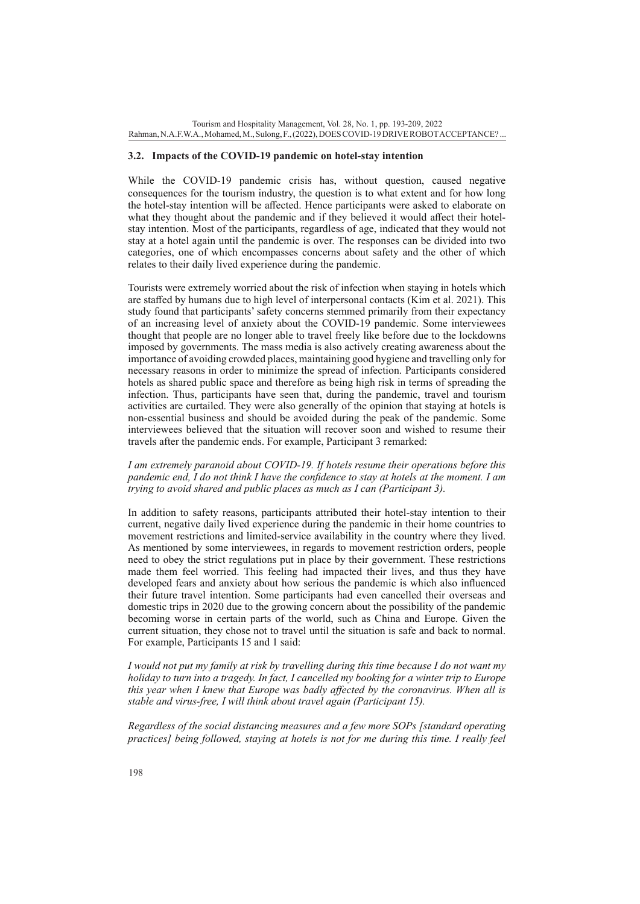#### **3.2. Impacts of the COVID-19 pandemic on hotel-stay intention**

While the COVID-19 pandemic crisis has, without question, caused negative consequences for the tourism industry, the question is to what extent and for how long the hotel-stay intention will be affected. Hence participants were asked to elaborate on what they thought about the pandemic and if they believed it would affect their hotelstay intention. Most of the participants, regardless of age, indicated that they would not stay at a hotel again until the pandemic is over. The responses can be divided into two categories, one of which encompasses concerns about safety and the other of which relates to their daily lived experience during the pandemic.

Tourists were extremely worried about the risk of infection when staying in hotels which are staffed by humans due to high level of interpersonal contacts (Kim et al. 2021). This study found that participants' safety concerns stemmed primarily from their expectancy of an increasing level of anxiety about the COVID-19 pandemic. Some interviewees thought that people are no longer able to travel freely like before due to the lockdowns imposed by governments. The mass media is also actively creating awareness about the importance of avoiding crowded places, maintaining good hygiene and travelling only for necessary reasons in order to minimize the spread of infection. Participants considered hotels as shared public space and therefore as being high risk in terms of spreading the infection. Thus, participants have seen that, during the pandemic, travel and tourism activities are curtailed. They were also generally of the opinion that staying at hotels is non-essential business and should be avoided during the peak of the pandemic. Some interviewees believed that the situation will recover soon and wished to resume their travels after the pandemic ends. For example, Participant 3 remarked:

*I am extremely paranoid about COVID-19. If hotels resume their operations before this pandemic end, I do not think I have the confidence to stay at hotels at the moment. I am trying to avoid shared and public places as much as I can (Participant 3).* 

In addition to safety reasons, participants attributed their hotel-stay intention to their current, negative daily lived experience during the pandemic in their home countries to movement restrictions and limited-service availability in the country where they lived. As mentioned by some interviewees, in regards to movement restriction orders, people need to obey the strict regulations put in place by their government. These restrictions made them feel worried. This feeling had impacted their lives, and thus they have developed fears and anxiety about how serious the pandemic is which also influenced their future travel intention. Some participants had even cancelled their overseas and domestic trips in 2020 due to the growing concern about the possibility of the pandemic becoming worse in certain parts of the world, such as China and Europe. Given the current situation, they chose not to travel until the situation is safe and back to normal. For example, Participants 15 and 1 said:

*I would not put my family at risk by travelling during this time because I do not want my holiday to turn into a tragedy. In fact, I cancelled my booking for a winter trip to Europe this year when I knew that Europe was badly affected by the coronavirus. When all is stable and virus-free, I will think about travel again (Participant 15).*

*Regardless of the social distancing measures and a few more SOPs [standard operating practices] being followed, staying at hotels is not for me during this time. I really feel*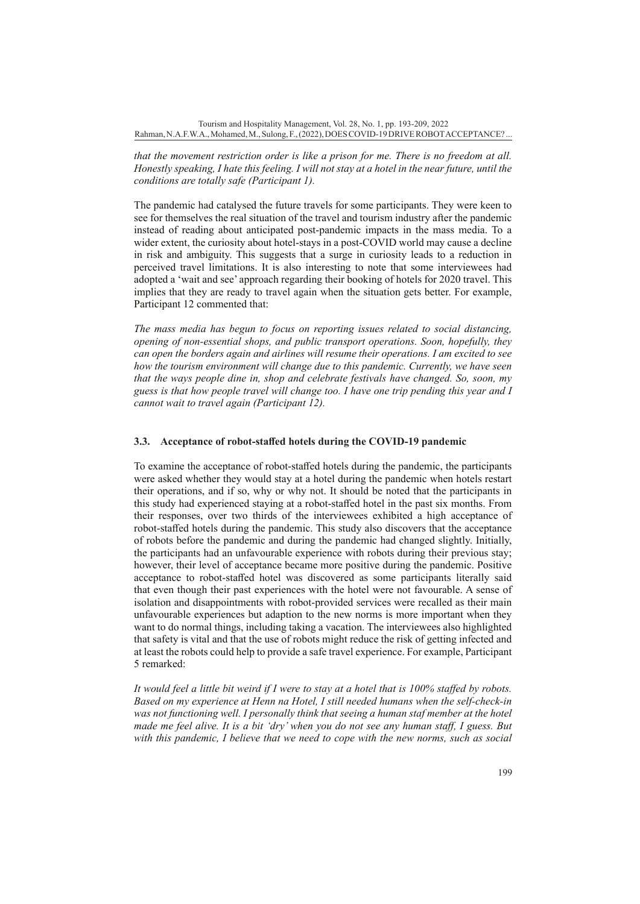*that the movement restriction order is like a prison for me. There is no freedom at all. Honestly speaking, I hate this feeling. I will not stay at a hotel in the near future, until the conditions are totally safe (Participant 1).*

The pandemic had catalysed the future travels for some participants. They were keen to see for themselves the real situation of the travel and tourism industry after the pandemic instead of reading about anticipated post-pandemic impacts in the mass media. To a wider extent, the curiosity about hotel-stays in a post-COVID world may cause a decline in risk and ambiguity. This suggests that a surge in curiosity leads to a reduction in perceived travel limitations. It is also interesting to note that some interviewees had adopted a 'wait and see' approach regarding their booking of hotels for 2020 travel. This implies that they are ready to travel again when the situation gets better. For example, Participant 12 commented that:

*The mass media has begun to focus on reporting issues related to social distancing, opening of non-essential shops, and public transport operations. Soon, hopefully, they can open the borders again and airlines will resume their operations. I am excited to see how the tourism environment will change due to this pandemic. Currently, we have seen that the ways people dine in, shop and celebrate festivals have changed. So, soon, my guess is that how people travel will change too. I have one trip pending this year and I cannot wait to travel again (Participant 12).*

## **3.3. Acceptance of robot-staffed hotels during the COVID-19 pandemic**

To examine the acceptance of robot-staffed hotels during the pandemic, the participants were asked whether they would stay at a hotel during the pandemic when hotels restart their operations, and if so, why or why not. It should be noted that the participants in this study had experienced staying at a robot-staffed hotel in the past six months. From their responses, over two thirds of the interviewees exhibited a high acceptance of robot-staffed hotels during the pandemic. This study also discovers that the acceptance of robots before the pandemic and during the pandemic had changed slightly. Initially, the participants had an unfavourable experience with robots during their previous stay; however, their level of acceptance became more positive during the pandemic. Positive acceptance to robot-staffed hotel was discovered as some participants literally said that even though their past experiences with the hotel were not favourable. A sense of isolation and disappointments with robot-provided services were recalled as their main unfavourable experiences but adaption to the new norms is more important when they want to do normal things, including taking a vacation. The interviewees also highlighted that safety is vital and that the use of robots might reduce the risk of getting infected and at least the robots could help to provide a safe travel experience. For example, Participant 5 remarked:

*It would feel a little bit weird if I were to stay at a hotel that is 100% staffed by robots. Based on my experience at Henn na Hotel, I still needed humans when the self-check-in*  was not functioning well. I personally think that seeing a human staf member at the hotel *made me feel alive. It is a bit 'dry' when you do not see any human staff, I guess. But with this pandemic, I believe that we need to cope with the new norms, such as social*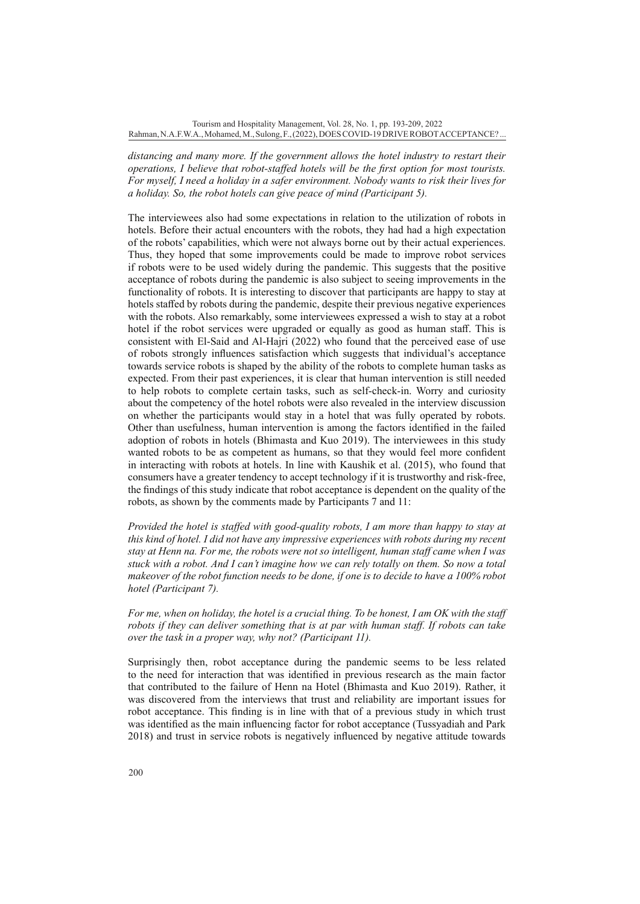*distancing and many more. If the government allows the hotel industry to restart their operations, I believe that robot-staffed hotels will be the first option for most tourists. For myself, I need a holiday in a safer environment. Nobody wants to risk their lives for a holiday. So, the robot hotels can give peace of mind (Participant 5).*

The interviewees also had some expectations in relation to the utilization of robots in hotels. Before their actual encounters with the robots, they had had a high expectation of the robots' capabilities, which were not always borne out by their actual experiences. Thus, they hoped that some improvements could be made to improve robot services if robots were to be used widely during the pandemic. This suggests that the positive acceptance of robots during the pandemic is also subject to seeing improvements in the functionality of robots. It is interesting to discover that participants are happy to stay at hotels staffed by robots during the pandemic, despite their previous negative experiences with the robots. Also remarkably, some interviewees expressed a wish to stay at a robot hotel if the robot services were upgraded or equally as good as human staff. This is consistent with El-Said and Al-Hajri (2022) who found that the perceived ease of use of robots strongly influences satisfaction which suggests that individual's acceptance towards service robots is shaped by the ability of the robots to complete human tasks as expected. From their past experiences, it is clear that human intervention is still needed to help robots to complete certain tasks, such as self-check-in. Worry and curiosity about the competency of the hotel robots were also revealed in the interview discussion on whether the participants would stay in a hotel that was fully operated by robots. Other than usefulness, human intervention is among the factors identified in the failed adoption of robots in hotels (Bhimasta and Kuo 2019). The interviewees in this study wanted robots to be as competent as humans, so that they would feel more confident in interacting with robots at hotels. In line with Kaushik et al. (2015), who found that consumers have a greater tendency to accept technology if it is trustworthy and risk-free, the findings of this study indicate that robot acceptance is dependent on the quality of the robots, as shown by the comments made by Participants 7 and 11:

*Provided the hotel is staffed with good-quality robots, I am more than happy to stay at this kind of hotel. I did not have any impressive experiences with robots during my recent stay at Henn na. For me, the robots were not so intelligent, human staff came when I was stuck with a robot. And I can't imagine how we can rely totally on them. So now a total makeover of the robot function needs to be done, if one is to decide to have a 100% robot hotel (Participant 7).*

*For me, when on holiday, the hotel is a crucial thing. To be honest, I am OK with the staff robots if they can deliver something that is at par with human staff. If robots can take over the task in a proper way, why not? (Participant 11).*

Surprisingly then, robot acceptance during the pandemic seems to be less related to the need for interaction that was identified in previous research as the main factor that contributed to the failure of Henn na Hotel (Bhimasta and Kuo 2019). Rather, it was discovered from the interviews that trust and reliability are important issues for robot acceptance. This finding is in line with that of a previous study in which trust was identified as the main influencing factor for robot acceptance (Tussyadiah and Park 2018) and trust in service robots is negatively influenced by negative attitude towards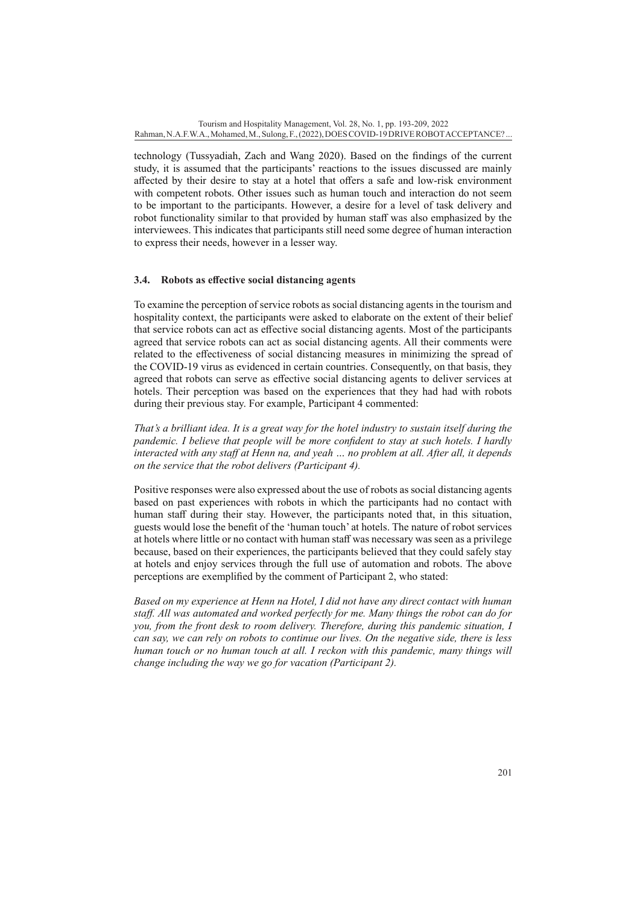technology (Tussyadiah, Zach and Wang 2020). Based on the findings of the current study, it is assumed that the participants' reactions to the issues discussed are mainly affected by their desire to stay at a hotel that offers a safe and low-risk environment with competent robots. Other issues such as human touch and interaction do not seem to be important to the participants. However, a desire for a level of task delivery and robot functionality similar to that provided by human staff was also emphasized by the interviewees. This indicates that participants still need some degree of human interaction to express their needs, however in a lesser way.

## **3.4. Robots as effective social distancing agents**

To examine the perception of service robots as social distancing agents in the tourism and hospitality context, the participants were asked to elaborate on the extent of their belief that service robots can act as effective social distancing agents. Most of the participants agreed that service robots can act as social distancing agents. All their comments were related to the effectiveness of social distancing measures in minimizing the spread of the COVID-19 virus as evidenced in certain countries. Consequently, on that basis, they agreed that robots can serve as effective social distancing agents to deliver services at hotels. Their perception was based on the experiences that they had had with robots during their previous stay. For example, Participant 4 commented:

*That's a brilliant idea. It is a great way for the hotel industry to sustain itself during the pandemic. I believe that people will be more confident to stay at such hotels. I hardly interacted with any staff at Henn na, and yeah … no problem at all. After all, it depends on the service that the robot delivers (Participant 4).*

Positive responses were also expressed about the use of robots as social distancing agents based on past experiences with robots in which the participants had no contact with human staff during their stay. However, the participants noted that, in this situation, guests would lose the benefit of the 'human touch' at hotels. The nature of robot services at hotels where little or no contact with human staff was necessary was seen as a privilege because, based on their experiences, the participants believed that they could safely stay at hotels and enjoy services through the full use of automation and robots. The above perceptions are exemplified by the comment of Participant 2, who stated:

*Based on my experience at Henn na Hotel, I did not have any direct contact with human staff. All was automated and worked perfectly for me. Many things the robot can do for you, from the front desk to room delivery. Therefore, during this pandemic situation, I can say, we can rely on robots to continue our lives. On the negative side, there is less human touch or no human touch at all. I reckon with this pandemic, many things will change including the way we go for vacation (Participant 2).*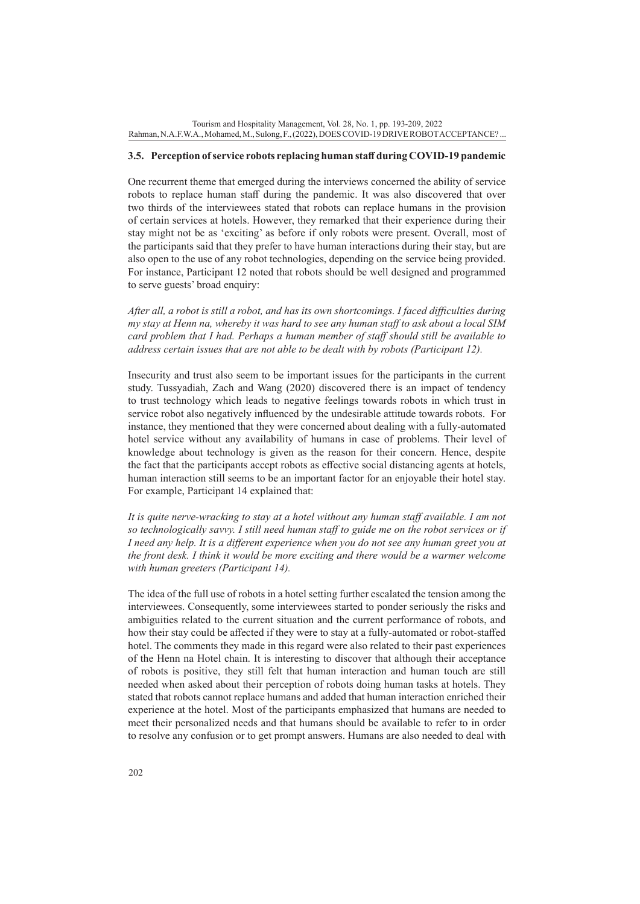#### **3.5. Perception of service robots replacing human staff during COVID-19 pandemic**

One recurrent theme that emerged during the interviews concerned the ability of service robots to replace human staff during the pandemic. It was also discovered that over two thirds of the interviewees stated that robots can replace humans in the provision of certain services at hotels. However, they remarked that their experience during their stay might not be as 'exciting' as before if only robots were present. Overall, most of the participants said that they prefer to have human interactions during their stay, but are also open to the use of any robot technologies, depending on the service being provided. For instance, Participant 12 noted that robots should be well designed and programmed to serve guests' broad enquiry:

*After all, a robot is still a robot, and has its own shortcomings. I faced difficulties during my stay at Henn na, whereby it was hard to see any human staff to ask about a local SIM card problem that I had. Perhaps a human member of staff should still be available to address certain issues that are not able to be dealt with by robots (Participant 12).*

Insecurity and trust also seem to be important issues for the participants in the current study. Tussyadiah, Zach and Wang (2020) discovered there is an impact of tendency to trust technology which leads to negative feelings towards robots in which trust in service robot also negatively influenced by the undesirable attitude towards robots. For instance, they mentioned that they were concerned about dealing with a fully-automated hotel service without any availability of humans in case of problems. Their level of knowledge about technology is given as the reason for their concern. Hence, despite the fact that the participants accept robots as effective social distancing agents at hotels, human interaction still seems to be an important factor for an enjoyable their hotel stay. For example, Participant 14 explained that:

*It is quite nerve-wracking to stay at a hotel without any human staff available. I am not so technologically savvy. I still need human staff to guide me on the robot services or if I need any help. It is a different experience when you do not see any human greet you at the front desk. I think it would be more exciting and there would be a warmer welcome with human greeters (Participant 14).*

The idea of the full use of robots in a hotel setting further escalated the tension among the interviewees. Consequently, some interviewees started to ponder seriously the risks and ambiguities related to the current situation and the current performance of robots, and how their stay could be affected if they were to stay at a fully-automated or robot-staffed hotel. The comments they made in this regard were also related to their past experiences of the Henn na Hotel chain. It is interesting to discover that although their acceptance of robots is positive, they still felt that human interaction and human touch are still needed when asked about their perception of robots doing human tasks at hotels. They stated that robots cannot replace humans and added that human interaction enriched their experience at the hotel. Most of the participants emphasized that humans are needed to meet their personalized needs and that humans should be available to refer to in order to resolve any confusion or to get prompt answers. Humans are also needed to deal with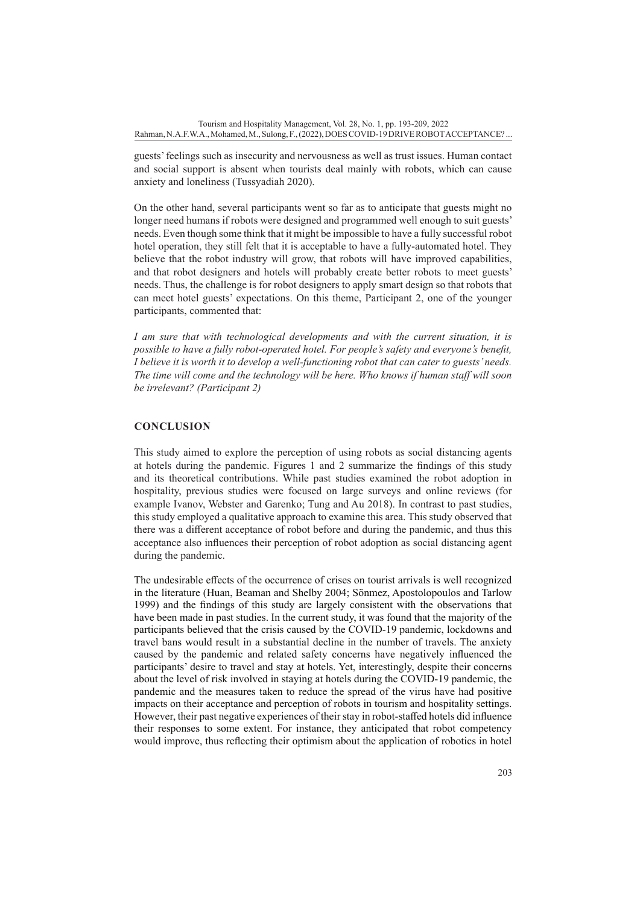guests' feelings such as insecurity and nervousness as well as trust issues. Human contact and social support is absent when tourists deal mainly with robots, which can cause anxiety and loneliness (Tussyadiah 2020).

On the other hand, several participants went so far as to anticipate that guests might no longer need humans if robots were designed and programmed well enough to suit guests' needs. Even though some think that it might be impossible to have a fully successful robot hotel operation, they still felt that it is acceptable to have a fully-automated hotel. They believe that the robot industry will grow, that robots will have improved capabilities, and that robot designers and hotels will probably create better robots to meet guests' needs. Thus, the challenge is for robot designers to apply smart design so that robots that can meet hotel guests' expectations. On this theme, Participant 2, one of the younger participants, commented that:

*I am sure that with technological developments and with the current situation, it is possible to have a fully robot-operated hotel. For people's safety and everyone's benefit, I believe it is worth it to develop a well-functioning robot that can cater to guests' needs. The time will come and the technology will be here. Who knows if human staff will soon be irrelevant? (Participant 2)*

## **CONCLUSION**

This study aimed to explore the perception of using robots as social distancing agents at hotels during the pandemic. Figures 1 and 2 summarize the findings of this study and its theoretical contributions. While past studies examined the robot adoption in hospitality, previous studies were focused on large surveys and online reviews (for example Ivanov, Webster and Garenko; Tung and Au 2018). In contrast to past studies, this study employed a qualitative approach to examine this area. This study observed that there was a different acceptance of robot before and during the pandemic, and thus this acceptance also influences their perception of robot adoption as social distancing agent during the pandemic.

The undesirable effects of the occurrence of crises on tourist arrivals is well recognized in the literature (Huan, Beaman and Shelby 2004; Sönmez, Apostolopoulos and Tarlow 1999) and the findings of this study are largely consistent with the observations that have been made in past studies. In the current study, it was found that the majority of the participants believed that the crisis caused by the COVID-19 pandemic, lockdowns and travel bans would result in a substantial decline in the number of travels. The anxiety caused by the pandemic and related safety concerns have negatively influenced the participants' desire to travel and stay at hotels. Yet, interestingly, despite their concerns about the level of risk involved in staying at hotels during the COVID-19 pandemic, the pandemic and the measures taken to reduce the spread of the virus have had positive impacts on their acceptance and perception of robots in tourism and hospitality settings. However, their past negative experiences of their stay in robot-staffed hotels did influence their responses to some extent. For instance, they anticipated that robot competency would improve, thus reflecting their optimism about the application of robotics in hotel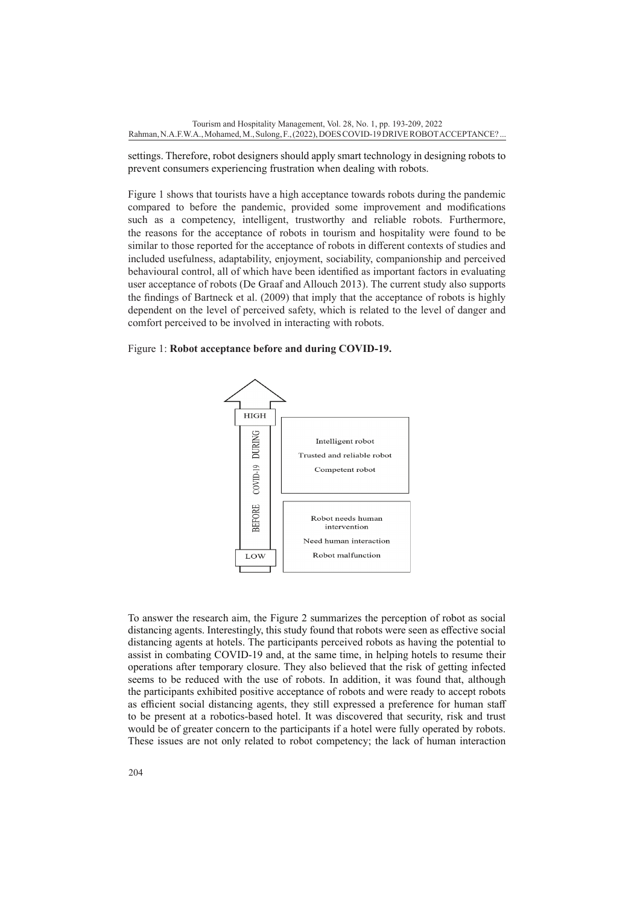settings. Therefore, robot designers should apply smart technology in designing robots to prevent consumers experiencing frustration when dealing with robots.

Figure 1 shows that tourists have a high acceptance towards robots during the pandemic compared to before the pandemic, provided some improvement and modifications such as a competency, intelligent, trustworthy and reliable robots. Furthermore, the reasons for the acceptance of robots in tourism and hospitality were found to be similar to those reported for the acceptance of robots in different contexts of studies and included usefulness, adaptability, enjoyment, sociability, companionship and perceived behavioural control, all of which have been identified as important factors in evaluating user acceptance of robots (De Graaf and Allouch 2013). The current study also supports the findings of Bartneck et al. (2009) that imply that the acceptance of robots is highly dependent on the level of perceived safety, which is related to the level of danger and comfort perceived to be involved in interacting with robots.

Figure 1: **Robot acceptance before and during COVID-19.**



To answer the research aim, the Figure 2 summarizes the perception of robot as social distancing agents. Interestingly, this study found that robots were seen as effective social distancing agents at hotels. The participants perceived robots as having the potential to assist in combating COVID-19 and, at the same time, in helping hotels to resume their operations after temporary closure. They also believed that the risk of getting infected seems to be reduced with the use of robots. In addition, it was found that, although the participants exhibited positive acceptance of robots and were ready to accept robots as efficient social distancing agents, they still expressed a preference for human staff to be present at a robotics-based hotel. It was discovered that security, risk and trust would be of greater concern to the participants if a hotel were fully operated by robots. These issues are not only related to robot competency; the lack of human interaction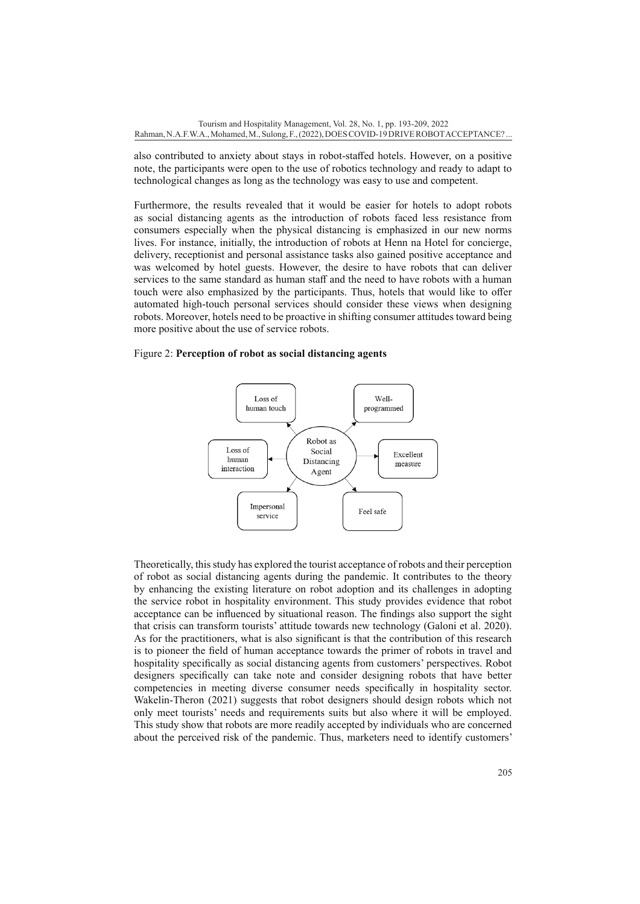also contributed to anxiety about stays in robot-staffed hotels. However, on a positive note, the participants were open to the use of robotics technology and ready to adapt to technological changes as long as the technology was easy to use and competent.

Furthermore, the results revealed that it would be easier for hotels to adopt robots as social distancing agents as the introduction of robots faced less resistance from consumers especially when the physical distancing is emphasized in our new norms lives. For instance, initially, the introduction of robots at Henn na Hotel for concierge, delivery, receptionist and personal assistance tasks also gained positive acceptance and was welcomed by hotel guests. However, the desire to have robots that can deliver services to the same standard as human staff and the need to have robots with a human touch were also emphasized by the participants. Thus, hotels that would like to offer automated high-touch personal services should consider these views when designing robots. Moreover, hotels need to be proactive in shifting consumer attitudes toward being more positive about the use of service robots.

#### Figure 2: **Perception of robot as social distancing agents**



Theoretically, this study has explored the tourist acceptance of robots and their perception of robot as social distancing agents during the pandemic. It contributes to the theory by enhancing the existing literature on robot adoption and its challenges in adopting the service robot in hospitality environment. This study provides evidence that robot acceptance can be influenced by situational reason. The findings also support the sight that crisis can transform tourists' attitude towards new technology (Galoni et al. 2020). As for the practitioners, what is also significant is that the contribution of this research is to pioneer the field of human acceptance towards the primer of robots in travel and hospitality specifically as social distancing agents from customers' perspectives. Robot designers specifically can take note and consider designing robots that have better competencies in meeting diverse consumer needs specifically in hospitality sector. Wakelin-Theron (2021) suggests that robot designers should design robots which not only meet tourists' needs and requirements suits but also where it will be employed. This study show that robots are more readily accepted by individuals who are concerned about the perceived risk of the pandemic. Thus, marketers need to identify customers'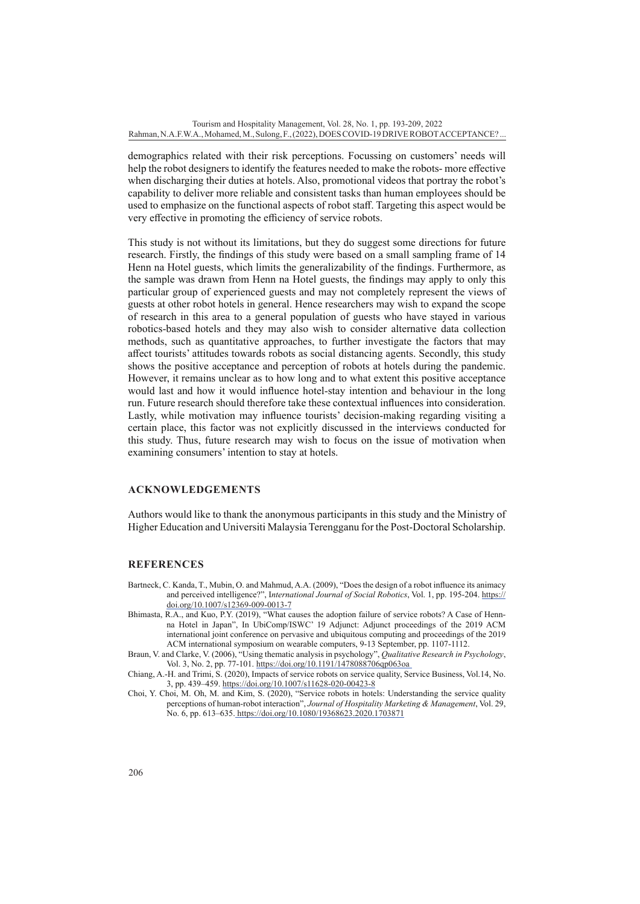demographics related with their risk perceptions. Focussing on customers' needs will help the robot designers to identify the features needed to make the robots- more effective when discharging their duties at hotels. Also, promotional videos that portray the robot's capability to deliver more reliable and consistent tasks than human employees should be used to emphasize on the functional aspects of robot staff. Targeting this aspect would be very effective in promoting the efficiency of service robots.

This study is not without its limitations, but they do suggest some directions for future research. Firstly, the findings of this study were based on a small sampling frame of 14 Henn na Hotel guests, which limits the generalizability of the findings. Furthermore, as the sample was drawn from Henn na Hotel guests, the findings may apply to only this particular group of experienced guests and may not completely represent the views of guests at other robot hotels in general. Hence researchers may wish to expand the scope of research in this area to a general population of guests who have stayed in various robotics-based hotels and they may also wish to consider alternative data collection methods, such as quantitative approaches, to further investigate the factors that may affect tourists' attitudes towards robots as social distancing agents. Secondly, this study shows the positive acceptance and perception of robots at hotels during the pandemic. However, it remains unclear as to how long and to what extent this positive acceptance would last and how it would influence hotel-stay intention and behaviour in the long run. Future research should therefore take these contextual influences into consideration. Lastly, while motivation may influence tourists' decision-making regarding visiting a certain place, this factor was not explicitly discussed in the interviews conducted for this study. Thus, future research may wish to focus on the issue of motivation when examining consumers' intention to stay at hotels.

#### **ACKNOWLEDGEMENTS**

Authors would like to thank the anonymous participants in this study and the Ministry of Higher Education and Universiti Malaysia Terengganu for the Post-Doctoral Scholarship.

### **REFERENCES**

- Bartneck, C. Kanda, T., Mubin, O. and Mahmud, A.A. (2009), "Does the design of a robot influence its animacy and perceived intelligence?", International Journal of Social Robotics, Vol. 1, pp. 195-204. [https://](https://doi.org/10.1007/s12369-009-0013-7) [doi.org/10.1007/s12369-009-0013-7](https://doi.org/10.1007/s12369-009-0013-7)
- Bhimasta, R.A., and Kuo, P.Y. (2019), "What causes the adoption failure of service robots? A Case of Hennna Hotel in Japan", In UbiComp/ISWC' 19 Adjunct: Adjunct proceedings of the 2019 ACM international joint conference on pervasive and ubiquitous computing and proceedings of the 2019 ACM international symposium on wearable computers, 9-13 September, pp. 1107-1112.
- Braun, V. and Clarke, V. (2006), "Using thematic analysis in psychology", *Qualitative Research in Psychology*, Vol. 3, No. 2, pp. 77-101.<https://doi.org/10.1191/1478088706qp063oa>
- Chiang, A.-H. and Trimi, S. (2020), Impacts of service robots on service quality, Service Business, Vol.14, No. 3, pp. 439–459.<https://doi.org/10.1007/s11628-020-00423-8>
- Choi, Y. Choi, M. Oh, M. and Kim, S. (2020), "Service robots in hotels: Understanding the service quality perceptions of human-robot interaction", *Journal of Hospitality Marketing & Management*, Vol. 29, No. 6, pp. 613–635.<https://doi.org/10.1080/19368623.2020.1703871>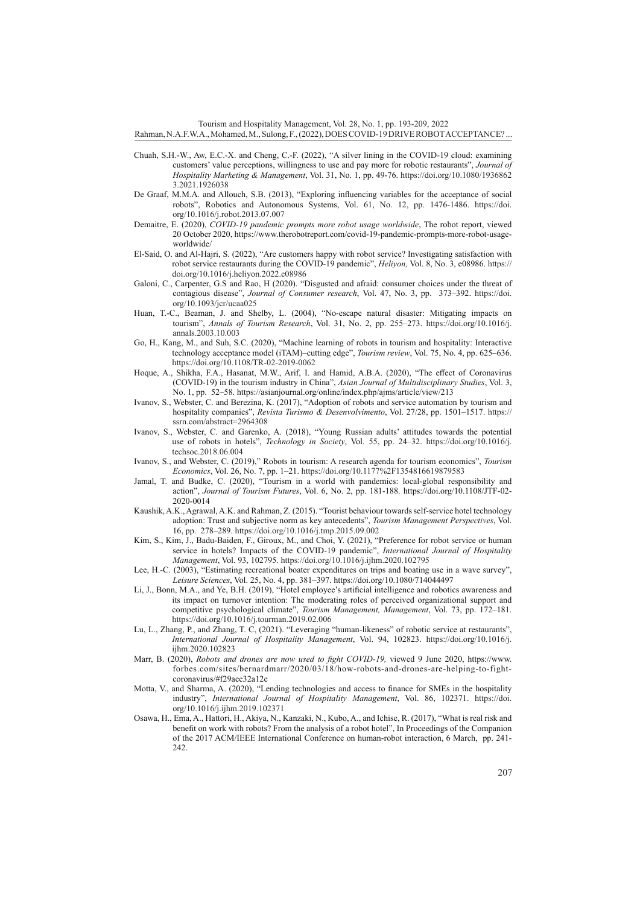Tourism and Hospitality Management, Vol. 28, No. 1, pp. 193-209, 2022

Rahman, N.A.F.W.A., Mohamed, M., Sulong, F., (2022), DOES COVID-19 DRIVE ROBOT ACCEPTANCE? ...

- Chuah, S.H.-W., Aw, E.C.-X. and Cheng, C.-F. (2022), "A silver lining in the COVID-19 cloud: examining customers' value perceptions, willingness to use and pay more for robotic restaurants", *Journal of Hospitality Marketing & Management*, Vol. 31, No. 1, pp. 49-76. [https://doi.org/10.1080/1936862](https://doi.org/10.1080/19368623.2021.1926038) [3.2021.1926038](https://doi.org/10.1080/19368623.2021.1926038)
- De Graaf, M.M.A. and Allouch, S.B. (2013), "Exploring influencing variables for the acceptance of social robots", Robotics and Autonomous Systems, Vol. 61, No. 12, pp. 1476-1486. [https://doi.](https://doi.org/10.1016/j.robot.2013.07.007) [org/10.1016/j.robot.2013.07.007](https://doi.org/10.1016/j.robot.2013.07.007)
- Demaitre, E. (2020), *COVID-19 pandemic prompts more robot usage worldwide*, The robot report, viewed 20 October 2020, [https://www.therobotreport.com/covid-19-pandemic-prompts-more-robot-usage](https://www.therobotreport.com/covid-19-pandemic-prompts-more-robot-usage-worldwide/)[worldwide/](https://www.therobotreport.com/covid-19-pandemic-prompts-more-robot-usage-worldwide/)
- El-Said, O. and Al-Hajri, S. (2022), "Are customers happy with robot service? Investigating satisfaction with robot service restaurants during the COVID-19 pandemic", *Heliyon,* Vol. 8, No. 3, e08986. [https://](https://doi.org/10.1016/j.heliyon.2022.e08986) [doi.org/10.1016/j.heliyon.2022.e08986](https://doi.org/10.1016/j.heliyon.2022.e08986)
- Galoni, C., Carpenter, G.S and Rao, H (2020). "Disgusted and afraid: consumer choices under the threat of contagious disease", *Journal of Consumer research*, Vol. 47, No. 3, pp. 373–392. [https://doi.](https://doi.org/10.1093/jcr/ucaa025) [org/10.1093/jcr/ucaa025](https://doi.org/10.1093/jcr/ucaa025)
- Huan, T.-C., Beaman, J. and Shelby, L. (2004), "No-escape natural disaster: Mitigating impacts on tourism", *Annals of Tourism Research*, Vol. 31, No. 2, pp. 255–273. [https://doi.org/10.1016/j.](https://doi.org/10.1016/j.annals.2003.10.003) [annals.2003.10.003](https://doi.org/10.1016/j.annals.2003.10.003)
- Go, H., Kang, M., and Suh, S.C. (2020), "Machine learning of robots in tourism and hospitality: Interactive technology acceptance model (iTAM)–cutting edge", *Tourism review*, Vol. 75, No. 4, pp. 625–636. <https://doi.org/10.1108/TR-02-2019-0062>
- Hoque, A., Shikha, F.A., Hasanat, M.W., Arif, I. and Hamid, A.B.A. (2020), "The effect of Coronavirus (COVID-19) in the tourism industry in China", *Asian Journal of Multidisciplinary Studies*, Vol. 3, No. 1, pp. 52–58. <https://asianjournal.org/online/index.php/ajms/article/view/213>
- Ivanov, S., Webster, C. and Berezina, K. (2017), "Adoption of robots and service automation by tourism and hospitality companies", *Revista Turismo & Desenvolvimento*, Vol. 27/28, pp. 1501–1517. [https://](https://ssrn.com/abstract=2964308) [ssrn.com/abstract=2964308](https://ssrn.com/abstract=2964308)
- Ivanov, S., Webster, C. and Garenko, A. (2018), "Young Russian adults' attitudes towards the potential use of robots in hotels", *Technology in Society*, Vol. 55, pp. 24–32. [https://doi.org/10.1016/j.](https://doi.org/10.1016/j.techsoc.2018.06.004) [techsoc.2018.06.004](https://doi.org/10.1016/j.techsoc.2018.06.004)
- Ivanov, S., and Webster, C. (2019)," Robots in tourism: A research agenda for tourism economics", *Tourism Economics*, Vol. 26, No. 7, pp. 1–21.<https://doi.org/10.1177%2F1354816619879583>
- Jamal, T. and Budke, C. (2020), "Tourism in a world with pandemics: local-global responsibility and action", *Journal of Tourism Futures*, Vol. 6, No. 2, pp. 181-188. [https://doi.org/10.1108/JTF-02-](https://doi.org/10.1108/JTF-02-2020-0014) [2020-0014](https://doi.org/10.1108/JTF-02-2020-0014)
- Kaushik, A.K., Agrawal, A.K. and Rahman, Z. (2015). "Tourist behaviour towards self-service hotel technology adoption: Trust and subjective norm as key antecedents", *Tourism Management Perspectives*, Vol. 16, pp. 278–289. <https://doi.org/10.1016/j.tmp.2015.09.002>
- Kim, S., Kim, J., Badu-Baiden, F., Giroux, M., and Choi, Y. (2021), "Preference for robot service or human service in hotels? Impacts of the COVID-19 pandemic", *International Journal of Hospitality Management*, Vol. 93, 102795.<https://doi.org/10.1016/j.ijhm.2020.102795>
- Lee, H.-C. (2003), "Estimating recreational boater expenditures on trips and boating use in a wave survey", *Leisure Sciences*, Vol. 25, No. 4, pp. 381–397. <https://doi.org/10.1080/714044497>
- Li, J., Bonn, M.A., and Ye, B.H. (2019), "Hotel employee's artificial intelligence and robotics awareness and its impact on turnover intention: The moderating roles of perceived organizational support and competitive psychological climate", *Tourism Management, Management*, Vol. 73, pp. 172–181. <https://doi.org/10.1016/j.tourman.2019.02.006>
- Lu, L., Zhang, P., and Zhang, T. C, (2021). "Leveraging "human-likeness" of robotic service at restaurants", *International Journal of Hospitality Management*, Vol. 94, 102823. [https://doi.org/10.1016/j.](https://doi.org/10.1016/j.ijhm.2020.102823) [ijhm.2020.102823](https://doi.org/10.1016/j.ijhm.2020.102823)
- Marr, B. (2020), *Robots and drones are now used to fight COVID-19,* viewed 9 June 2020, https://www. forbes.com/sites/bernardmarr/2020/03/18/how-robots-and-drones-are-helping-to-fightcoronavirus/#f29aee32a12e
- Motta, V., and Sharma, A. (2020), "Lending technologies and access to finance for SMEs in the hospitality industry", *International Journal of Hospitality Management*, Vol. 86, 102371. [https://doi.](https://doi.org/10.1016/j.ijhm.2019.102371) [org/10.1016/j.ijhm.2019.102371](https://doi.org/10.1016/j.ijhm.2019.102371)
- Osawa, H., Ema, A., Hattori, H., Akiya, N., Kanzaki, N., Kubo, A., and Ichise, R. (2017), "What is real risk and benefit on work with robots? From the analysis of a robot hotel", In Proceedings of the Companion of the 2017 ACM/IEEE International Conference on human-robot interaction, 6 March, pp. 241- 242.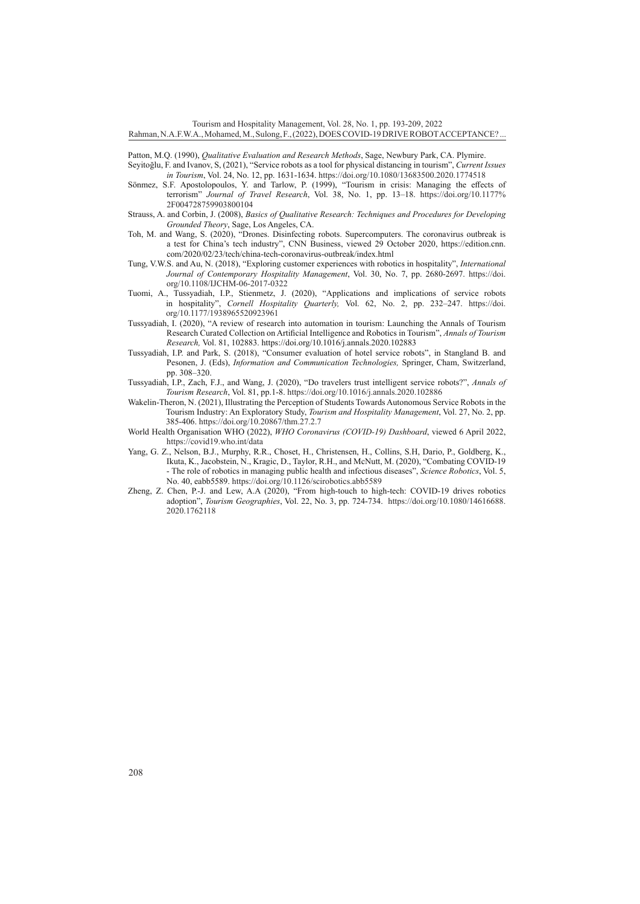Tourism and Hospitality Management, Vol. 28, No. 1, pp. 193-209, 2022

#### Rahman, N.A.F.W.A., Mohamed, M., Sulong, F., (2022), DOES COVID-19 DRIVE ROBOT ACCEPTANCE? ...

Patton, M.Q. (1990), *Qualitative Evaluation and Research Methods*, Sage, Newbury Park, CA. Plymire.

Seyitoğlu, F. and Ivanov, S, (2021), "Service robots as a tool for physical distancing in tourism", *Current Issues in Tourism*, Vol. 24, No. 12, pp. 1631-1634.<https://doi.org/10.1080/13683500.2020.1774518>

- Sönmez, S.F. Apostolopoulos, Y. and Tarlow, P. (1999), "Tourism in crisis: Managing the effects of terrorism" *Journal of Travel Research*, Vol. 38, No. 1, pp. 13–18. [https://doi.org/10.1177%](https://doi.org/10.1177%2F004728759903800104) [2F004728759903800104](https://doi.org/10.1177%2F004728759903800104)
- Strauss, A. and Corbin, J. (2008), *Basics of Qualitative Research: Techniques and Procedures for Developing Grounded Theory*, Sage, Los Angeles, CA.
- Toh, M. and Wang, S. (2020), "Drones. Disinfecting robots. Supercomputers. The coronavirus outbreak is a test for China's tech industry", CNN Business, viewed 29 October 2020, [https://edition.cnn.](https://edition.cnn.com/2020/02/23/tech/china-tech-coronavirus-outbreak/index.html) [com/2020/02/23/tech/china-tech-coronavirus-outbreak/index.html](https://edition.cnn.com/2020/02/23/tech/china-tech-coronavirus-outbreak/index.html)
- Tung, V.W.S. and Au, N. (2018), "Exploring customer experiences with robotics in hospitality", *International Journal of Contemporary Hospitality Management*, Vol. 30, No. 7, pp. 2680-2697. [https://doi.](https://doi.org/10.1108/IJCHM-06-2017-0322) [org/10.1108/IJCHM-06-2017-0322](https://doi.org/10.1108/IJCHM-06-2017-0322)
- Tuomi, A., Tussyadiah, I.P., Stienmetz, J. (2020), "Applications and implications of service robots in hospitality", *Cornell Hospitality Quarterly,* Vol. 62, No. 2, pp. 232–247. [https://doi.](https://doi.org/10.1177/1938965520923961) [org/10.1177/1938965520923961](https://doi.org/10.1177/1938965520923961)
- Tussyadiah, I. (2020), "A review of research into automation in tourism: Launching the Annals of Tourism Research Curated Collection on Artificial Intelligence and Robotics in Tourism", *Annals of Tourism Research,* Vol. 81, 102883.<https://doi.org/10.1016/j.annals.2020.102883>
- Tussyadiah, I.P. and Park, S. (2018), "Consumer evaluation of hotel service robots", in Stangland B. and Pesonen, J. (Eds), *Information and Communication Technologies,* Springer, Cham, Switzerland, pp. 308–320.
- Tussyadiah, I.P., Zach, F.J., and Wang, J. (2020), "Do travelers trust intelligent service robots?", *Annals of Tourism Research*, Vol. 81, pp.1-8.<https://doi.org/10.1016/j.annals.2020.102886>
- Wakelin-Theron, N. (2021), Illustrating the Perception of Students Towards Autonomous Service Robots in the Tourism Industry: An Exploratory Study, *Tourism and Hospitality Management*, Vol. 27, No. 2, pp. 385-406.<https://doi.org/10.20867/thm.27.2.7>
- World Health Organisation WHO (2022), *WHO Coronavirus (COVID-19) Dashboard*, viewed 6 April 2022, <https://covid19.who.int/data>
- Yang, G. Z., Nelson, B.J., Murphy, R.R., Choset, H., Christensen, H., Collins, S.H, Dario, P., Goldberg, K., Ikuta, K., Jacobstein, N., Kragic, D., Taylor, R.H., and McNutt, M. (2020), "Combating COVID-19 - The role of robotics in managing public health and infectious diseases", *Science Robotics*, Vol. 5, No. 40, eabb5589. <https://doi.org/10.1126/scirobotics.abb5589>
- Zheng, Z. Chen, P.-J. and Lew, A.A (2020), "From high-touch to high-tech: COVID-19 drives robotics adoption", *Tourism Geographies*, Vol. 22, No. 3, pp. 724-734. [https://doi.org/10.1080/14616688.](https://doi.org/10.1080/14616688.2020.1762118) [2020.1762118](https://doi.org/10.1080/14616688.2020.1762118)